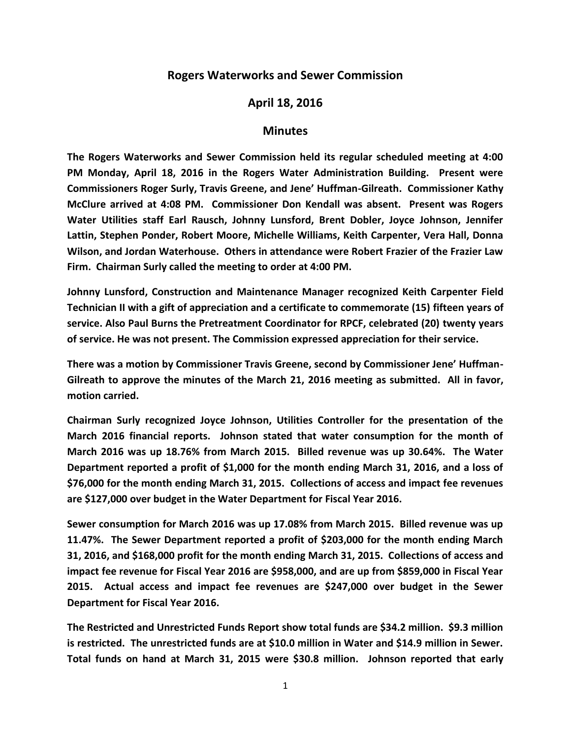## **Rogers Waterworks and Sewer Commission**

## **April 18, 2016**

## **Minutes**

**The Rogers Waterworks and Sewer Commission held its regular scheduled meeting at 4:00 PM Monday, April 18, 2016 in the Rogers Water Administration Building. Present were Commissioners Roger Surly, Travis Greene, and Jene' Huffman-Gilreath. Commissioner Kathy McClure arrived at 4:08 PM. Commissioner Don Kendall was absent. Present was Rogers Water Utilities staff Earl Rausch, Johnny Lunsford, Brent Dobler, Joyce Johnson, Jennifer Lattin, Stephen Ponder, Robert Moore, Michelle Williams, Keith Carpenter, Vera Hall, Donna Wilson, and Jordan Waterhouse. Others in attendance were Robert Frazier of the Frazier Law Firm. Chairman Surly called the meeting to order at 4:00 PM.**

**Johnny Lunsford, Construction and Maintenance Manager recognized Keith Carpenter Field Technician II with a gift of appreciation and a certificate to commemorate (15) fifteen years of service. Also Paul Burns the Pretreatment Coordinator for RPCF, celebrated (20) twenty years of service. He was not present. The Commission expressed appreciation for their service.**

**There was a motion by Commissioner Travis Greene, second by Commissioner Jene' Huffman-Gilreath to approve the minutes of the March 21, 2016 meeting as submitted. All in favor, motion carried.**

**Chairman Surly recognized Joyce Johnson, Utilities Controller for the presentation of the March 2016 financial reports. Johnson stated that water consumption for the month of March 2016 was up 18.76% from March 2015. Billed revenue was up 30.64%. The Water Department reported a profit of \$1,000 for the month ending March 31, 2016, and a loss of \$76,000 for the month ending March 31, 2015. Collections of access and impact fee revenues are \$127,000 over budget in the Water Department for Fiscal Year 2016.**

**Sewer consumption for March 2016 was up 17.08% from March 2015. Billed revenue was up 11.47%. The Sewer Department reported a profit of \$203,000 for the month ending March 31, 2016, and \$168,000 profit for the month ending March 31, 2015. Collections of access and impact fee revenue for Fiscal Year 2016 are \$958,000, and are up from \$859,000 in Fiscal Year 2015. Actual access and impact fee revenues are \$247,000 over budget in the Sewer Department for Fiscal Year 2016.**

**The Restricted and Unrestricted Funds Report show total funds are \$34.2 million. \$9.3 million is restricted. The unrestricted funds are at \$10.0 million in Water and \$14.9 million in Sewer. Total funds on hand at March 31, 2015 were \$30.8 million. Johnson reported that early**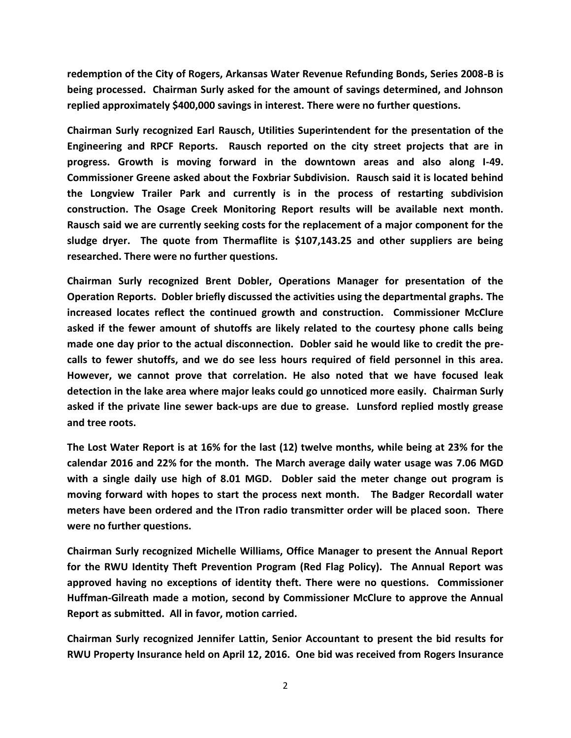**redemption of the City of Rogers, Arkansas Water Revenue Refunding Bonds, Series 2008-B is being processed. Chairman Surly asked for the amount of savings determined, and Johnson replied approximately \$400,000 savings in interest. There were no further questions.**

**Chairman Surly recognized Earl Rausch, Utilities Superintendent for the presentation of the Engineering and RPCF Reports. Rausch reported on the city street projects that are in progress. Growth is moving forward in the downtown areas and also along I-49. Commissioner Greene asked about the Foxbriar Subdivision. Rausch said it is located behind the Longview Trailer Park and currently is in the process of restarting subdivision construction. The Osage Creek Monitoring Report results will be available next month. Rausch said we are currently seeking costs for the replacement of a major component for the sludge dryer. The quote from Thermaflite is \$107,143.25 and other suppliers are being researched. There were no further questions.**

**Chairman Surly recognized Brent Dobler, Operations Manager for presentation of the Operation Reports. Dobler briefly discussed the activities using the departmental graphs. The increased locates reflect the continued growth and construction. Commissioner McClure asked if the fewer amount of shutoffs are likely related to the courtesy phone calls being made one day prior to the actual disconnection. Dobler said he would like to credit the precalls to fewer shutoffs, and we do see less hours required of field personnel in this area. However, we cannot prove that correlation. He also noted that we have focused leak detection in the lake area where major leaks could go unnoticed more easily. Chairman Surly asked if the private line sewer back-ups are due to grease. Lunsford replied mostly grease and tree roots.**

**The Lost Water Report is at 16% for the last (12) twelve months, while being at 23% for the calendar 2016 and 22% for the month. The March average daily water usage was 7.06 MGD with a single daily use high of 8.01 MGD. Dobler said the meter change out program is moving forward with hopes to start the process next month. The Badger Recordall water meters have been ordered and the ITron radio transmitter order will be placed soon. There were no further questions.**

**Chairman Surly recognized Michelle Williams, Office Manager to present the Annual Report for the RWU Identity Theft Prevention Program (Red Flag Policy). The Annual Report was approved having no exceptions of identity theft. There were no questions. Commissioner Huffman-Gilreath made a motion, second by Commissioner McClure to approve the Annual Report as submitted. All in favor, motion carried.**

**Chairman Surly recognized Jennifer Lattin, Senior Accountant to present the bid results for RWU Property Insurance held on April 12, 2016. One bid was received from Rogers Insurance**